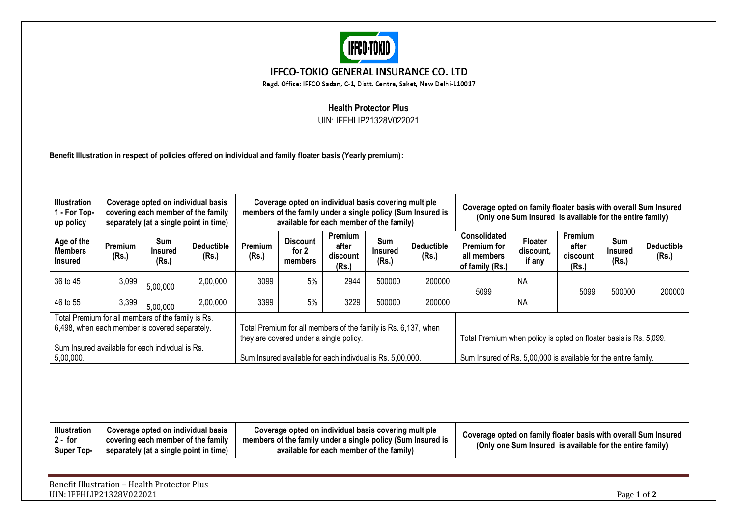

## IFFCO-TOKIO GENERAL INSURANCE CO. LTD

Regd. Office: IFFCO Sadan, C-1, Distt. Centre, Saket, New Delhi-110017

## **Health Protector Plus**

UIN: IFFHLIP21328V022021

**Benefit Illustration in respect of policies offered on individual and family floater basis (Yearly premium):**

| <b>Illustration</b><br>1 - For Top-<br>up policy                                                                                                                     | Coverage opted on individual basis<br>covering each member of the family<br>separately (at a single point in time) |                                                                              |                                    |                                                                                                                                                                        | Coverage opted on individual basis covering multiple<br>available for each member of the family) |                                       |                                | members of the family under a single policy (Sum Insured is | Coverage opted on family floater basis with overall Sum Insured<br>(Only one Sum Insured is available for the entire family)         |                                       |                                              |                                       |                            |  |
|----------------------------------------------------------------------------------------------------------------------------------------------------------------------|--------------------------------------------------------------------------------------------------------------------|------------------------------------------------------------------------------|------------------------------------|------------------------------------------------------------------------------------------------------------------------------------------------------------------------|--------------------------------------------------------------------------------------------------|---------------------------------------|--------------------------------|-------------------------------------------------------------|--------------------------------------------------------------------------------------------------------------------------------------|---------------------------------------|----------------------------------------------|---------------------------------------|----------------------------|--|
| Age of the<br><b>Members</b><br><b>Insured</b>                                                                                                                       | Premium<br>(Rs.)                                                                                                   | Sum<br><b>Insured</b><br>(Rs.)                                               | <b>Deductible</b><br>(Rs.)         | <b>Premium</b><br>(Rs.)                                                                                                                                                | <b>Discount</b><br>for 2<br>members                                                              | Premium<br>after<br>discount<br>(Rs.) | Sum<br><b>Insured</b><br>(Rs.) | <b>Deductible</b><br>(Rs.)                                  | <b>Consolidated</b><br><b>Premium for</b><br>all members<br>of family (Rs.)                                                          | <b>Floater</b><br>discount.<br>if any | <b>Premium</b><br>after<br>discount<br>(Rs.) | <b>Sum</b><br><b>Insured</b><br>(Rs.) | <b>Deductible</b><br>(Rs.) |  |
| 36 to 45                                                                                                                                                             | 3,099                                                                                                              | 5,00,000                                                                     | 2,00,000                           | 3099                                                                                                                                                                   | 5%                                                                                               | 2944                                  | 500000                         | 200000                                                      | 5099                                                                                                                                 | <b>NA</b>                             | 5099                                         | 500000                                | 200000                     |  |
| 46 to 55                                                                                                                                                             | 3,399                                                                                                              | 5,00,000                                                                     | 2,00,000                           | 3399                                                                                                                                                                   | 5%                                                                                               | 3229                                  | 500000                         | 200000                                                      |                                                                                                                                      | <b>NA</b>                             |                                              |                                       |                            |  |
| Total Premium for all members of the family is Rs.<br>6,498, when each member is covered separately.<br>Sum Insured available for each indivdual is Rs.<br>5,00,000. |                                                                                                                    |                                                                              |                                    | Total Premium for all members of the family is Rs. 6,137, when<br>they are covered under a single policy.<br>Sum Insured available for each indivdual is Rs. 5,00,000. |                                                                                                  |                                       |                                |                                                             | Total Premium when policy is opted on floater basis is Rs. 5,099.<br>Sum Insured of Rs. 5,00,000 is available for the entire family. |                                       |                                              |                                       |                            |  |
|                                                                                                                                                                      |                                                                                                                    |                                                                              |                                    |                                                                                                                                                                        |                                                                                                  |                                       |                                |                                                             |                                                                                                                                      |                                       |                                              |                                       |                            |  |
| <b>Illustration</b><br>$2 - for$<br>Super Top-                                                                                                                       |                                                                                                                    | Coverage opted on individual basis<br>separately (at a single point in time) | covering each member of the family | Coverage opted on individual basis covering multiple<br>members of the family under a single policy (Sum Insured is<br>available for each member of the family)        |                                                                                                  |                                       |                                |                                                             | Coverage opted on family floater basis with overall Sum Insured<br>(Only one Sum Insured is available for the entire family)         |                                       |                                              |                                       |                            |  |

| Benefit<br>t Illustration - Health Protector Plus. |             |
|----------------------------------------------------|-------------|
| UIN:<br>1328V02202<br><b>IEEH</b><br>TD.           | عتموك<br>റ⊤ |